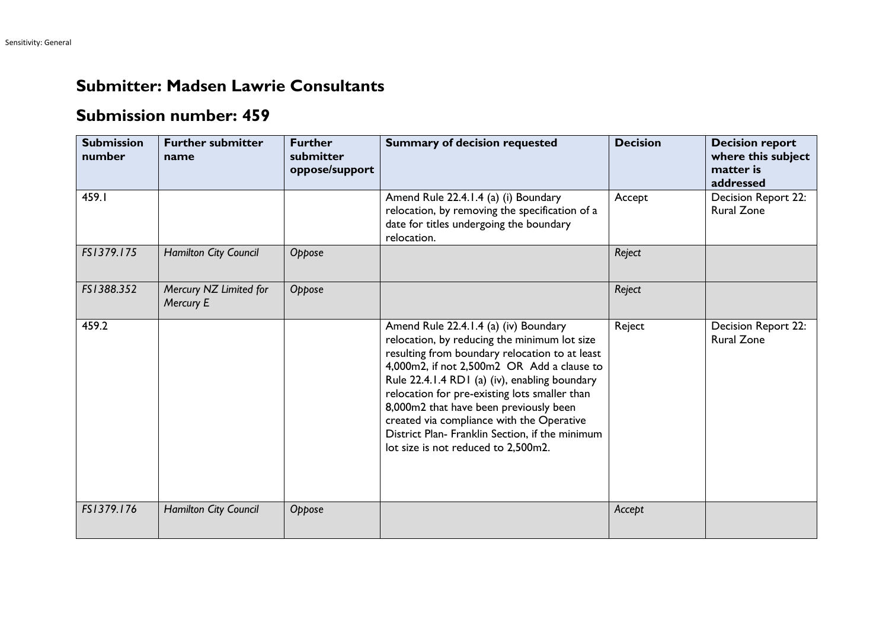## **Submitter: Madsen Lawrie Consultants**

## **Submission number: 459**

| <b>Submission</b><br>number | <b>Further submitter</b><br>name    | <b>Further</b><br>submitter<br>oppose/support | <b>Summary of decision requested</b>                                                                                                                                                                                                                                                                                                                                                                                                                                     | <b>Decision</b> | <b>Decision report</b><br>where this subject<br>matter is<br>addressed |
|-----------------------------|-------------------------------------|-----------------------------------------------|--------------------------------------------------------------------------------------------------------------------------------------------------------------------------------------------------------------------------------------------------------------------------------------------------------------------------------------------------------------------------------------------------------------------------------------------------------------------------|-----------------|------------------------------------------------------------------------|
| 459.I                       |                                     |                                               | Amend Rule 22.4.1.4 (a) (i) Boundary<br>relocation, by removing the specification of a<br>date for titles undergoing the boundary<br>relocation.                                                                                                                                                                                                                                                                                                                         | Accept          | Decision Report 22:<br><b>Rural Zone</b>                               |
| FS1379.175                  | Hamilton City Council               | Oppose                                        |                                                                                                                                                                                                                                                                                                                                                                                                                                                                          | Reject          |                                                                        |
| FS1388.352                  | Mercury NZ Limited for<br>Mercury E | Oppose                                        |                                                                                                                                                                                                                                                                                                                                                                                                                                                                          | Reject          |                                                                        |
| 459.2                       |                                     |                                               | Amend Rule 22.4.1.4 (a) (iv) Boundary<br>relocation, by reducing the minimum lot size<br>resulting from boundary relocation to at least<br>4,000m2, if not 2,500m2 OR Add a clause to<br>Rule 22.4.1.4 RD1 (a) (iv), enabling boundary<br>relocation for pre-existing lots smaller than<br>8,000m2 that have been previously been<br>created via compliance with the Operative<br>District Plan- Franklin Section, if the minimum<br>lot size is not reduced to 2,500m2. | Reject          | Decision Report 22:<br><b>Rural Zone</b>                               |
| FS1379.176                  | Hamilton City Council               | Oppose                                        |                                                                                                                                                                                                                                                                                                                                                                                                                                                                          | Accept          |                                                                        |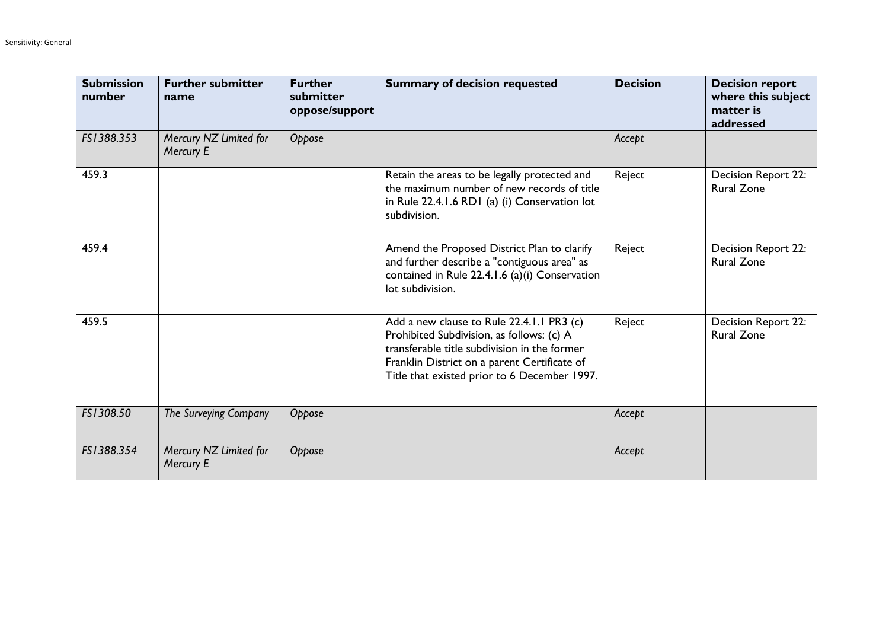| <b>Submission</b><br>number | <b>Further submitter</b><br>name    | <b>Further</b><br>submitter<br>oppose/support | <b>Summary of decision requested</b>                                                                                                                                                                                                   | <b>Decision</b> | <b>Decision report</b><br>where this subject<br>matter is<br>addressed |
|-----------------------------|-------------------------------------|-----------------------------------------------|----------------------------------------------------------------------------------------------------------------------------------------------------------------------------------------------------------------------------------------|-----------------|------------------------------------------------------------------------|
| FS1388.353                  | Mercury NZ Limited for<br>Mercury E | Oppose                                        |                                                                                                                                                                                                                                        | Accept          |                                                                        |
| 459.3                       |                                     |                                               | Retain the areas to be legally protected and<br>the maximum number of new records of title<br>in Rule 22.4.1.6 RD1 (a) (i) Conservation lot<br>subdivision.                                                                            | Reject          | Decision Report 22:<br><b>Rural Zone</b>                               |
| 459.4                       |                                     |                                               | Amend the Proposed District Plan to clarify<br>and further describe a "contiguous area" as<br>contained in Rule 22.4.1.6 (a)(i) Conservation<br>lot subdivision.                                                                       | Reject          | Decision Report 22:<br><b>Rural Zone</b>                               |
| 459.5                       |                                     |                                               | Add a new clause to Rule 22.4.1.1 PR3 (c)<br>Prohibited Subdivision, as follows: (c) A<br>transferable title subdivision in the former<br>Franklin District on a parent Certificate of<br>Title that existed prior to 6 December 1997. | Reject          | Decision Report 22:<br><b>Rural Zone</b>                               |
| FS1308.50                   | The Surveying Company               | Oppose                                        |                                                                                                                                                                                                                                        | Accept          |                                                                        |
| FS1388.354                  | Mercury NZ Limited for<br>Mercury E | Oppose                                        |                                                                                                                                                                                                                                        | Accept          |                                                                        |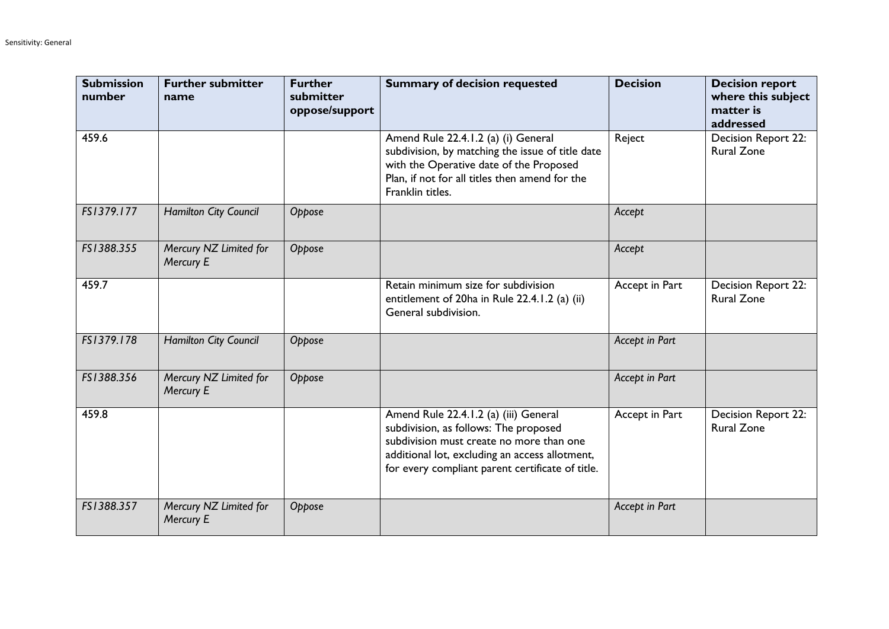| <b>Submission</b><br>number | <b>Further submitter</b><br>name    | <b>Further</b><br>submitter<br>oppose/support | <b>Summary of decision requested</b>                                                                                                                                                                                             | <b>Decision</b> | <b>Decision report</b><br>where this subject<br>matter is<br>addressed |
|-----------------------------|-------------------------------------|-----------------------------------------------|----------------------------------------------------------------------------------------------------------------------------------------------------------------------------------------------------------------------------------|-----------------|------------------------------------------------------------------------|
| 459.6                       |                                     |                                               | Amend Rule 22.4.1.2 (a) (i) General<br>subdivision, by matching the issue of title date<br>with the Operative date of the Proposed<br>Plan, if not for all titles then amend for the<br>Franklin titles.                         | Reject          | Decision Report 22:<br><b>Rural Zone</b>                               |
| FS1379.177                  | Hamilton City Council               | Oppose                                        |                                                                                                                                                                                                                                  | Accept          |                                                                        |
| FS1388.355                  | Mercury NZ Limited for<br>Mercury E | Oppose                                        |                                                                                                                                                                                                                                  | Accept          |                                                                        |
| 459.7                       |                                     |                                               | Retain minimum size for subdivision<br>entitlement of 20ha in Rule 22.4.1.2 (a) (ii)<br>General subdivision.                                                                                                                     | Accept in Part  | Decision Report 22:<br><b>Rural Zone</b>                               |
| FS1379.178                  | Hamilton City Council               | Oppose                                        |                                                                                                                                                                                                                                  | Accept in Part  |                                                                        |
| FS1388.356                  | Mercury NZ Limited for<br>Mercury E | Oppose                                        |                                                                                                                                                                                                                                  | Accept in Part  |                                                                        |
| 459.8                       |                                     |                                               | Amend Rule 22.4.1.2 (a) (iii) General<br>subdivision, as follows: The proposed<br>subdivision must create no more than one<br>additional lot, excluding an access allotment,<br>for every compliant parent certificate of title. | Accept in Part  | Decision Report 22:<br><b>Rural Zone</b>                               |
| FS1388.357                  | Mercury NZ Limited for<br>Mercury E | Oppose                                        |                                                                                                                                                                                                                                  | Accept in Part  |                                                                        |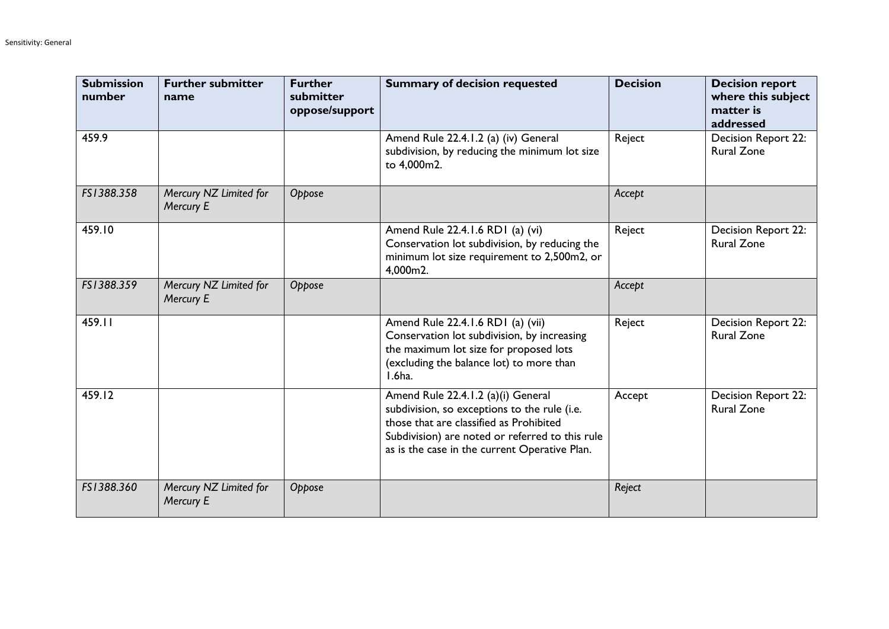| <b>Submission</b><br>number | <b>Further submitter</b><br>name    | <b>Further</b><br>submitter<br>oppose/support | <b>Summary of decision requested</b>                                                                                                                                                                                              | <b>Decision</b> | <b>Decision report</b><br>where this subject<br>matter is<br>addressed |
|-----------------------------|-------------------------------------|-----------------------------------------------|-----------------------------------------------------------------------------------------------------------------------------------------------------------------------------------------------------------------------------------|-----------------|------------------------------------------------------------------------|
| 459.9                       |                                     |                                               | Amend Rule 22.4.1.2 (a) (iv) General<br>subdivision, by reducing the minimum lot size<br>to 4,000m2.                                                                                                                              | Reject          | <b>Decision Report 22:</b><br><b>Rural Zone</b>                        |
| FS1388.358                  | Mercury NZ Limited for<br>Mercury E | Oppose                                        |                                                                                                                                                                                                                                   | Accept          |                                                                        |
| 459.10                      |                                     |                                               | Amend Rule 22.4.1.6 RD1 (a) (vi)<br>Conservation lot subdivision, by reducing the<br>minimum lot size requirement to 2,500m2, or<br>4,000m2.                                                                                      | Reject          | Decision Report 22:<br><b>Rural Zone</b>                               |
| FS1388.359                  | Mercury NZ Limited for<br>Mercury E | Oppose                                        |                                                                                                                                                                                                                                   | Accept          |                                                                        |
| 459.11                      |                                     |                                               | Amend Rule 22.4.1.6 RD1 (a) (vii)<br>Conservation lot subdivision, by increasing<br>the maximum lot size for proposed lots<br>(excluding the balance lot) to more than<br>I.6ha.                                                  | Reject          | <b>Decision Report 22:</b><br><b>Rural Zone</b>                        |
| 459.12                      |                                     |                                               | Amend Rule 22.4.1.2 (a)(i) General<br>subdivision, so exceptions to the rule (i.e.<br>those that are classified as Prohibited<br>Subdivision) are noted or referred to this rule<br>as is the case in the current Operative Plan. | Accept          | <b>Decision Report 22:</b><br><b>Rural Zone</b>                        |
| FS1388.360                  | Mercury NZ Limited for<br>Mercury E | Oppose                                        |                                                                                                                                                                                                                                   | Reject          |                                                                        |